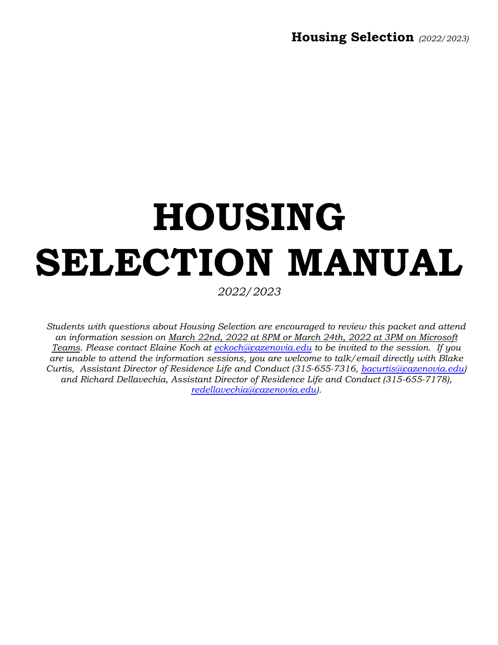# **HOUSING SELECTION MANUAL**

*2022/2023*

*Students with questions about Housing Selection are encouraged to review this packet and attend an information session on March 22nd, 2022 at 8PM or March 24th, 2022 at 3PM on Microsoft Teams. Please contact Elaine Koch at [eckoch@cazenovia.edu](mailto:eckoch@cazenovia.edu) to be invited to the session. If you are unable to attend the information sessions, you are welcome to talk/email directly with Blake Curtis, Assistant Director of Residence Life and Conduct (315-655-7316, [bacurtis@cazenovia.edu\)](mailto:bacurtis@cazenovia.edu) and Richard Dellavechia, Assistant Director of Residence Life and Conduct (315-655-7178), [redellavechia@cazenovia.edu\)](mailto:redellavechia@cazenovia.edu).*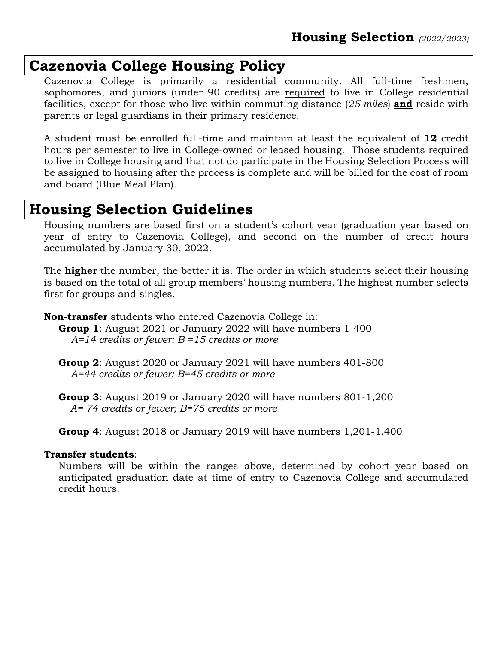## **Cazenovia College Housing Policy**

Cazenovia College is primarily a residential community. All full-time freshmen, sophomores, and juniors (under 90 credits) are required to live in College residential facilities, except for those who live within commuting distance (*25 miles*) **and** reside with parents or legal guardians in their primary residence.

A student must be enrolled full-time and maintain at least the equivalent of **12** credit hours per semester to live in College-owned or leased housing. Those students required to live in College housing and that not do participate in the Housing Selection Process will be assigned to housing after the process is complete and will be billed for the cost of room and board (Blue Meal Plan).

## **Housing Selection Guidelines**

Housing numbers are based first on a student's cohort year (graduation year based on year of entry to Cazenovia College), and second on the number of credit hours accumulated by January 30, 2022.

The **higher** the number, the better it is. The order in which students select their housing is based on the total of all group members' housing numbers. The highest number selects first for groups and singles.

**Non-transfer** students who entered Cazenovia College in:

- **Group 1**: August 2021 or January 2022 will have numbers 1-400 *A=14 credits or fewer; B =15 credits or more*
	- **Group 2**: August 2020 or January 2021 will have numbers 401-800 *A=44 credits or fewer; B=45 credits or more*

 **Group 3**: August 2019 or January 2020 will have numbers 801-1,200  *A= 74 credits or fewer; B=75 credits or more*

**Group 4**: August 2018 or January 2019 will have numbers 1,201-1,400

#### **Transfer students**:

Numbers will be within the ranges above, determined by cohort year based on anticipated graduation date at time of entry to Cazenovia College and accumulated credit hours.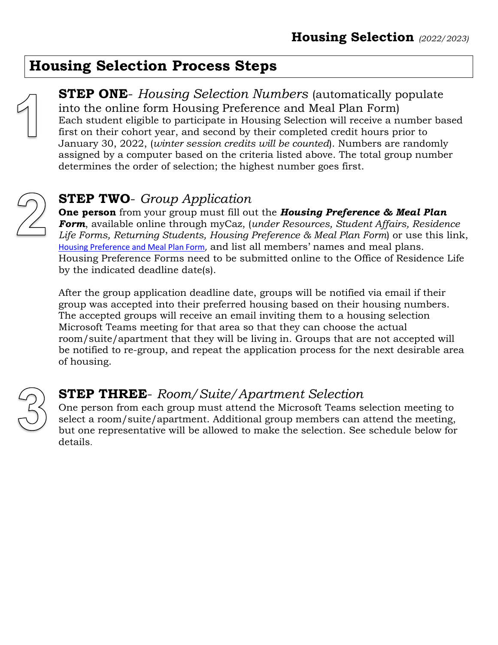## **Housing Selection Process Steps**



**STEP ONE**- *Housing Selection Numbers* (automatically populate into the online form Housing Preference and Meal Plan Form) Each student eligible to participate in Housing Selection will receive a number based first on their cohort year, and second by their completed credit hours prior to January 30, 2022, (*winter session credits will be counted*). Numbers are randomly assigned by a computer based on the criteria listed above. The total group number determines the order of selection; the highest number goes first.

## **STEP TWO**- *Group Application*

**One person** from your group must fill out the *Housing Preference & Meal Plan Form*, available online through myCaz, (*under Resources, Student Affairs, Residence Life Forms, Returning Students, Housing Preference & Meal Plan Form*) or use this link, [Housing Preference and Meal Plan Form,](https://mycaz.cazenovia.edu/resources/studentlife/Pages/Housing-Preference-Form.aspx) and list all members' names and meal plans. Housing Preference Forms need to be submitted online to the Office of Residence Life by the indicated deadline date(s).

After the group application deadline date, groups will be notified via email if their group was accepted into their preferred housing based on their housing numbers. The accepted groups will receive an email inviting them to a housing selection Microsoft Teams meeting for that area so that they can choose the actual room/suite/apartment that they will be living in. Groups that are not accepted will be notified to re-group, and repeat the application process for the next desirable area of housing.



### **STEP THREE**- *Room/Suite/Apartment Selection*

One person from each group must attend the Microsoft Teams selection meeting to select a room/suite/apartment. Additional group members can attend the meeting, but one representative will be allowed to make the selection. See schedule below for details.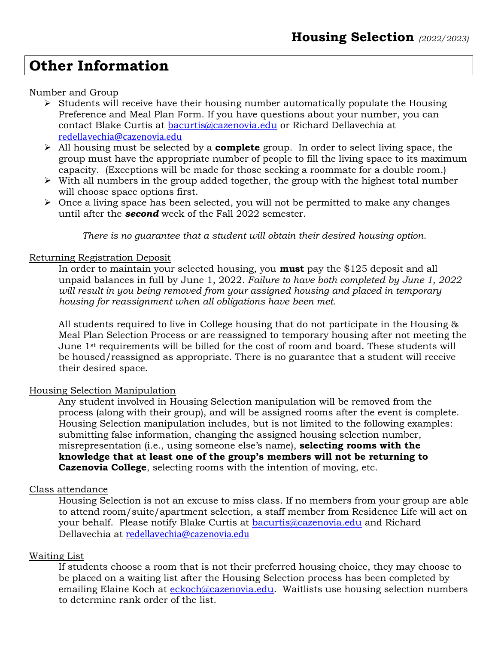## **Other Information**

#### Number and Group

- ➢ Students will receive have their housing number automatically populate the Housing Preference and Meal Plan Form. If you have questions about your number, you can contact Blake Curtis at [bacurtis@cazenovia.edu](mailto:bacurtis@cazenovia.edu) or Richard Dellavechia at [redellavechia@cazenovia.edu](mailto:redellavechia@cazenovia.edu)
- ➢ All housing must be selected by a **complete** group. In order to select living space, the group must have the appropriate number of people to fill the living space to its maximum capacity. (Exceptions will be made for those seeking a roommate for a double room.)
- $\triangleright$  With all numbers in the group added together, the group with the highest total number will choose space options first.
- ➢ Once a living space has been selected, you will not be permitted to make any changes until after the *second* week of the Fall 2022 semester.

*There is no guarantee that a student will obtain their desired housing option*.

#### Returning Registration Deposit

In order to maintain your selected housing, you **must** pay the \$125 deposit and all unpaid balances in full by June 1, 2022. *Failure to have both completed by June 1, 2022 will result in you being removed from your assigned housing and placed in temporary housing for reassignment when all obligations have been met.*

All students required to live in College housing that do not participate in the Housing & Meal Plan Selection Process or are reassigned to temporary housing after not meeting the June 1st requirements will be billed for the cost of room and board. These students will be housed/reassigned as appropriate. There is no guarantee that a student will receive their desired space.

#### Housing Selection Manipulation

Any student involved in Housing Selection manipulation will be removed from the process (along with their group), and will be assigned rooms after the event is complete. Housing Selection manipulation includes, but is not limited to the following examples: submitting false information, changing the assigned housing selection number, misrepresentation (i.e., using someone else's name), **selecting rooms with the knowledge that at least one of the group's members will not be returning to Cazenovia College**, selecting rooms with the intention of moving, etc.

#### Class attendance

Housing Selection is not an excuse to miss class. If no members from your group are able to attend room/suite/apartment selection, a staff member from Residence Life will act on your behalf. Please notify Blake Curtis at **bacurtis@cazenovia.edu** and Richard Dellavechia at [redellavechia@cazenovia.edu](mailto:redellavechia@cazenovia.edu)

#### Waiting List

If students choose a room that is not their preferred housing choice, they may choose to be placed on a waiting list after the Housing Selection process has been completed by emailing Elaine Koch at [eckoch@cazenovia.edu.](mailto:eckoch@cazenovia.edu) Waitlists use housing selection numbers to determine rank order of the list.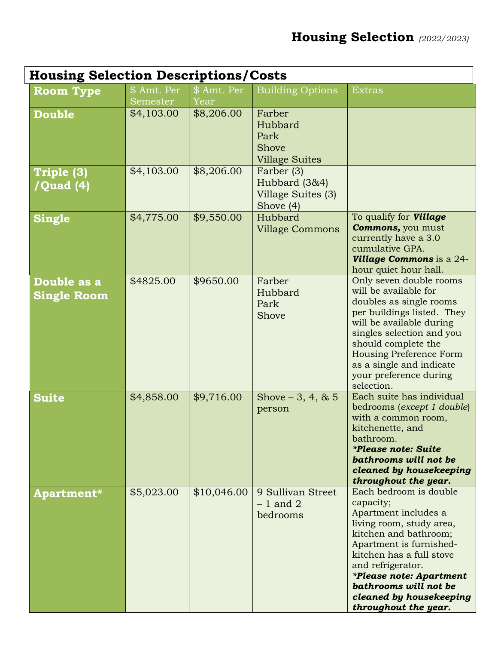| <b>Housing Selection Descriptions/Costs</b> |                         |                     |                                                                |                                                                                                                                                                                                                                                                                                            |  |
|---------------------------------------------|-------------------------|---------------------|----------------------------------------------------------------|------------------------------------------------------------------------------------------------------------------------------------------------------------------------------------------------------------------------------------------------------------------------------------------------------------|--|
| <b>Room Type</b>                            | \$ Amt. Per<br>Semester | \$ Amt. Per<br>Year | <b>Building Options</b>                                        | <b>Extras</b>                                                                                                                                                                                                                                                                                              |  |
| <b>Double</b>                               | \$4,103.00              | \$8,206.00          | Farber<br>Hubbard<br>Park<br>Shove<br><b>Village Suites</b>    |                                                                                                                                                                                                                                                                                                            |  |
| Triple (3)<br>/Quad (4)                     | \$4,103.00              | \$8,206.00          | Farber (3)<br>Hubbard (3&4)<br>Village Suites (3)<br>Shove (4) |                                                                                                                                                                                                                                                                                                            |  |
| <b>Single</b>                               | \$4,775.00              | \$9,550.00          | Hubbard<br><b>Village Commons</b>                              | To qualify for <b>Village</b><br><b>Commons, you must</b><br>currently have a 3.0<br>cumulative GPA.<br><b>Village Commons</b> is a 24-<br>hour quiet hour hall.                                                                                                                                           |  |
| Double as a<br><b>Single Room</b>           | \$4825.00               | \$9650.00           | Farber<br>Hubbard<br>Park<br>Shove                             | Only seven double rooms<br>will be available for<br>doubles as single rooms<br>per buildings listed. They<br>will be available during<br>singles selection and you<br>should complete the<br><b>Housing Preference Form</b><br>as a single and indicate<br>your preference during<br>selection.            |  |
| <b>Suite</b>                                | \$4,858.00              | \$9,716.00          | Shove $-3, 4, 8, 5$<br>person                                  | Each suite has individual<br>bedrooms (except 1 double)<br>with a common room,<br>kitchenette, and<br>bathroom.<br><i>*Please note: Suite</i><br>bathrooms will not be<br>cleaned by housekeeping<br>throughout the year.                                                                                  |  |
| Apartment*                                  | \$5,023.00              | \$10,046.00         | 9 Sullivan Street<br>$-1$ and 2<br>bedrooms                    | Each bedroom is double<br>capacity;<br>Apartment includes a<br>living room, study area,<br>kitchen and bathroom;<br>Apartment is furnished-<br>kitchen has a full stove<br>and refrigerator.<br><i>*Please note: Apartment</i><br>bathrooms will not be<br>cleaned by housekeeping<br>throughout the year. |  |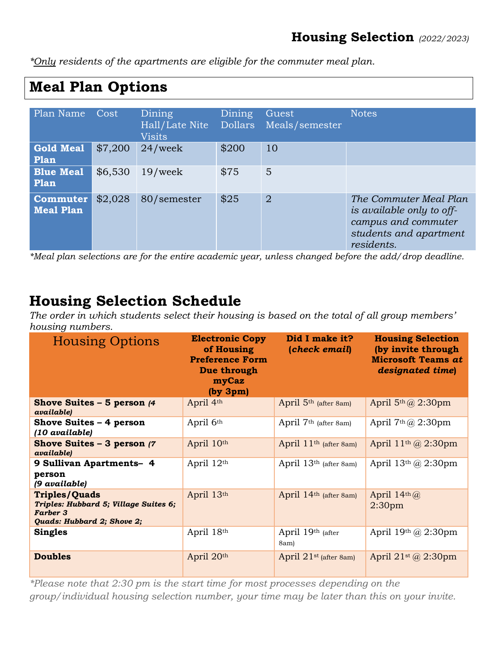*\*Only residents of the apartments are eligible for the commuter meal plan.*

## **Meal Plan Options**

| Plan Name Cost               |         | Dining<br>Hall/Late Nite<br><b>Visits</b> | Dining | Guest<br>Dollars Meals/semester | <b>Notes</b>                                                                                                       |
|------------------------------|---------|-------------------------------------------|--------|---------------------------------|--------------------------------------------------------------------------------------------------------------------|
| <b>Gold Meal</b><br>Plan     | \$7,200 | $24$ /week                                | \$200  | 10                              |                                                                                                                    |
| <b>Blue Meal</b><br>Plan     | \$6,530 | $19$ /week                                | \$75   | 5                               |                                                                                                                    |
| Commuter<br><b>Meal Plan</b> | \$2,028 | 80/semester                               | \$25   | $\overline{2}$                  | The Commuter Meal Plan<br>is available only to off-<br>campus and commuter<br>students and apartment<br>residents. |

*\*Meal plan selections are for the entire academic year, unless changed before the add/drop deadline.*

## **Housing Selection Schedule**

*The order in which students select their housing is based on the total of all group members' housing numbers.* 

| <b>Housing Options</b>                                                                                         | <b>Electronic Copy</b><br>of Housing<br><b>Preference Form</b><br>Due through<br>myCaz<br>(by 3pm) | Did I make it?<br>(check email)    | <b>Housing Selection</b><br>(by invite through<br><b>Microsoft Teams at</b><br>designated time) |
|----------------------------------------------------------------------------------------------------------------|----------------------------------------------------------------------------------------------------|------------------------------------|-------------------------------------------------------------------------------------------------|
| Shove Suites $-5$ person $/4$<br><i>available)</i>                                                             | April 4th                                                                                          | April 5 <sup>th</sup> (after 8am)  | April $5th(a)$ 2:30pm                                                                           |
| Shove Suites $-4$ person<br>(10 available)                                                                     | April 6th                                                                                          | April 7 <sup>th</sup> (after 8am)  | April $7th(a)$ 2:30pm                                                                           |
| Shove Suites $-3$ person $(7)$<br>available)                                                                   | April 10th                                                                                         | April $11th$ (after 8am)           | April $11th$ ( $\omega$ 2:30pm                                                                  |
| 9 Sullivan Apartments- 4<br>person<br>(9 available)                                                            | April 12th                                                                                         | April 13 <sup>th</sup> (after 8am) | April $13th$ ( $\omega$ 2:30pm                                                                  |
| <b>Triples/Quads</b><br>Triples: Hubbard 5; Village Suites 6;<br><b>Farber 3</b><br>Quads: Hubbard 2; Shove 2; | April 13th                                                                                         | April 14th (after 8am)             | April $14th\omega$<br>2:30 <sub>pm</sub>                                                        |
| <b>Singles</b>                                                                                                 | April 18th                                                                                         | April 19th (after<br>8am)          | April $19th$ ( $\omega$ 2:30pm                                                                  |
| <b>Doubles</b>                                                                                                 | April 20th                                                                                         | April 21 <sup>st</sup> (after 8am) | April 21st @ 2:30pm                                                                             |

*\*Please note that 2:30 pm is the start time for most processes depending on the group/individual housing selection number, your time may be later than this on your invite.*